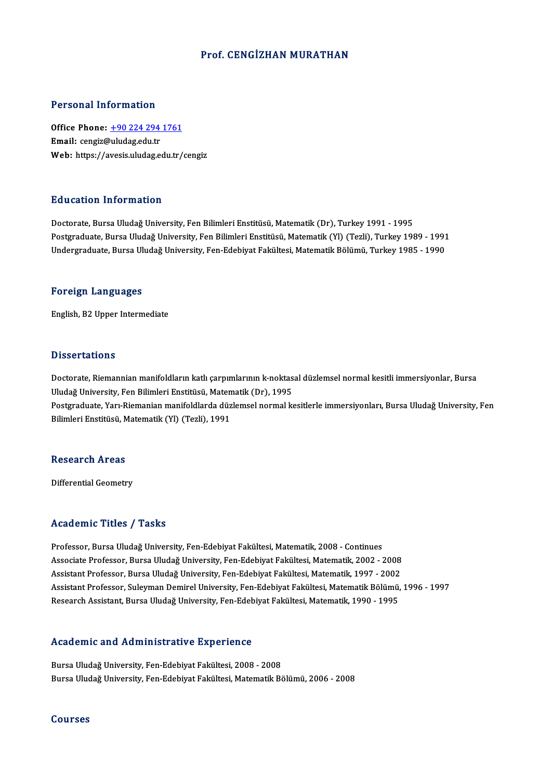# Prof. CENGİZHAN MURATHAN

# Personal Information

Personal Information<br>Office Phone: <u>+90 224 294 1761</u><br>Email: congiz@uludas.cdu.tr Processing information<br>Office Phone: <u>+90 224 294</u><br>Email: cengiz[@uludag.edu.tr](tel:+90 224 294 1761) Email: cengiz@uludag.edu.tr<br>Web: https://avesis.uludag.edu.tr/cengiz

# Education Information

Doctorate, Bursa Uludağ University, Fen Bilimleri Enstitüsü, Matematik (Dr), Turkey 1991 - 1995 Pu u sutrom minominusion<br>Doctorate, Bursa Uludağ University, Fen Bilimleri Enstitüsü, Matematik (Dr), Turkey 1991 - 1995<br>Postgraduate, Bursa Uludağ University, Fen Bilimleri Enstitüsü, Matematik (Yl) (Tezli), Turkey 1989 -Doctorate, Bursa Uludağ University, Fen Bilimleri Enstitüsü, Matematik (Dr), Turkey 1991 - 1995<br>Postgraduate, Bursa Uludağ University, Fen Bilimleri Enstitüsü, Matematik (Yl) (Tezli), Turkey 1989 - 1991<br>Undergraduate, Burs Undergraduate, Bursa Uludağ University, Fen-Edebiyat Fakültesi, Matematik Bölümü, Turkey 1985 - 1990<br>Foreign Languages

English,B2Upper Intermediate

## **Dissertations**

Dissertations<br>Doctorate, Riemannian manifoldların katlı çarpımlarının k-noktasal düzlemsel normal kesitli immersiyonlar, Bursa<br>Uludağ University, Fen Bilimleri Enstitüsü, Matematik (Dr.), 1995 D'isser tatreme<br>Doctorate, Riemannian manifoldların katlı çarpımlarının k-noktas<br>Uludağ University, Fen Bilimleri Enstitüsü, Matematik (Dr), 1995<br>Postaraduate Varı Biemanian manifoldlarda dürlemsel nermal k Doctorate, Riemannian manifoldların katlı çarpımlarının k-noktasal düzlemsel normal kesitli immersiyonlar, Bursa<br>Uludağ University, Fen Bilimleri Enstitüsü, Matematik (Dr), 1995<br>Postgraduate, Yarı-Riemanian manifoldlarda d Uludağ University, Fen Bilimleri Enstitüsü, Maten<br>Postgraduate, Yarı-Riemanian manifoldlarda düz<br>Bilimleri Enstitüsü, Matematik (Yl) (Tezli), 1991 Bilimleri Enstitüsü, Matematik (Yl) (Tezli), 1991<br>Research Areas

Differential Geometry

# Academic Titles / Tasks

Professor, Bursa Uludağ University, Fen-Edebiyat Fakültesi, Matematik, 2008 - Continues -<br>Professor, Bursa Uludağ University, Fen-Edebiyat Fakültesi, Matematik, 2008 - Continues<br>Associate Professor, Bursa Uludağ University, Fen-Edebiyat Fakültesi, Matematik, 2002 - 2008<br>Assistant Professor, Bursa Uludağ Unive Professor, Bursa Uludağ University, Fen-Edebiyat Fakültesi, Matematik, 2008 - Continues<br>Associate Professor, Bursa Uludağ University, Fen-Edebiyat Fakültesi, Matematik, 2002 - 2008<br>Assistant Professor, Bursa Uludağ Univers Assistant Professor, Bursa Uludağ University, Fen-Edebiyat Fakültesi, Matematik, 1997 - 2002<br>Assistant Professor, Suleyman Demirel University, Fen-Edebiyat Fakültesi, Matematik Bölümü, 1996 - 1997 Research Assistant, Bursa Uludağ University, Fen-Edebiyat Fakültesi, Matematik, 1990 - 1995

# Research Assistant, bursa bilitage oniversity, ren-Edeb<br>Academic and Administrative Experience

Academic and Administrative Experience<br>Bursa Uludağ University, Fen-Edebiyat Fakültesi, 2008 - 2008<br>Bursa Uludağ University, Fen-Edebiyat Fakültesi, Matematik Bé Bursa Uludağ University, Fen-Edebiyat Fakültesi, 2008 - 2008<br>Bursa Uludağ University, Fen-Edebiyat Fakültesi, Matematik Bölümü, 2006 - 2008

Courses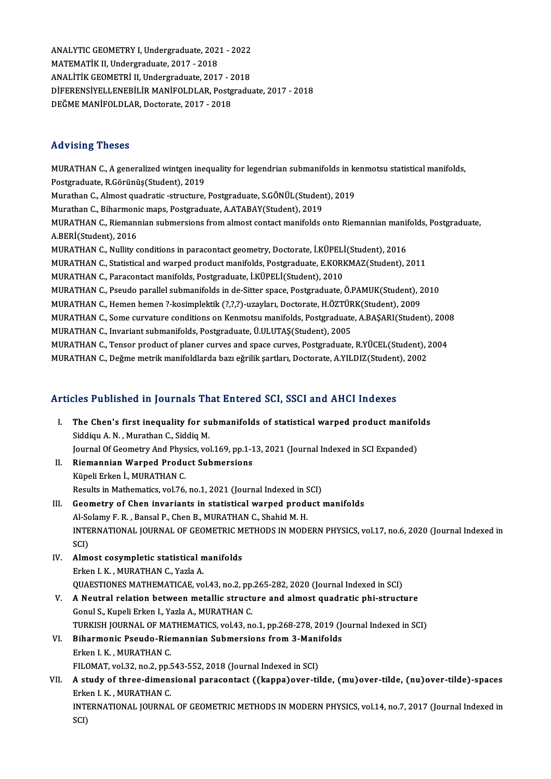ANALYTIC GEOMETRY I, Undergraduate, 2021 - 2022<br>MATEMATIK II, Undergraduate, 2017 - 2019 ANALYTIC GEOMETRY I, Undergraduate, 202<br>MATEMATİK II, Undergraduate, 2017 - 2018<br>ANALİTİK GEOMETRİ II, Undergraduate, 2017 ANALYTIC GEOMETRY I, Undergraduate, 2021 - 2022<br>MATEMATİK II, Undergraduate, 2017 - 2018<br>ANALİTİK GEOMETRİ II, Undergraduate, 2017 - 2018<br>DİEERENSİVELI ENERLI IP MANİEQI DI AR. Bestsradu MATEMATİK II, Undergraduate, 2017 - 2018<br>ANALİTİK GEOMETRİ II, Undergraduate, 2017 - 2018<br>DİFERENSİYELLENEBİLİR MANİFOLDLAR, Postgraduate, 2017 - 2018<br>DEĞME MANİFOLDLAR, Doctorate, 2017 - 2018 ANALİTİK GEOMETRİ II, Undergraduate, 2017 - 2018

# Advising Theses

Advising Theses<br>MURATHAN C., A generalized wintgen inequality for legendrian submanifolds in kenmotsu statistical manifolds,<br>Restanaduate B Görünüs(Student), 2019 rra viering "Thebes"<br>MURATHAN C., A generalized wintgen ine<br>Postgraduate, R.Görünüş(Student), 2019<br>Murathan C. Almast quadratic, structure MURATHAN C., A generalized wintgen inequality for legendrian submanifolds in ke<br>Postgraduate, R.Görünüş(Student), 2019<br>Murathan C., Almost quadratic -structure, Postgraduate, S.GÖNÜL(Student), 2019<br>Murathan C., Biharmanis Postgraduate, R.Görünüş(Student), 2019<br>Murathan C., Almost quadratic -structure, Postgraduate, S.GÖNÜL(Studen<br>Murathan C., Biharmonic maps, Postgraduate, A.ATABAY(Student), 2019<br>MURATHAN C. Biamannian submersians from almo Murathan C., Almost quadratic -structure, Postgraduate, S.GÖNÜL(Student), 2019<br>Murathan C., Biharmonic maps, Postgraduate, A.ATABAY(Student), 2019<br>MURATHAN C., Riemannian submersions from almost contact manifolds onto Riem Murathan C., Biharmoni<br>MURATHAN C., Riemani<br>A.BERİ(Student), 2016<br>MURATHAN C. Nullity c MURATHAN C., Riemannian submersions from almost contact manifolds onto Riemannian manif<br>A.BERİ(Student), 2016<br>MURATHAN C., Nullity conditions in paracontact geometry, Doctorate, İ.KÜPELİ(Student), 2016<br>MURATHAN C., Statist A.BERİ(Student), 2016<br>MURATHAN C., Nullity conditions in paracontact geometry, Doctorate, İ.KÜPELİ(Student), 2016<br>MURATHAN C., Statistical and warped product manifolds, Postgraduate, E.KORKMAZ(Student), 2011<br>MURATHAN C., P MURATHAN C., Nullity conditions in paracontact geometry, Doctorate, İ.KÜPELİ(Student), 2016<br>MURATHAN C., Statistical and warped product manifolds, Postgraduate, E.KORKMAZ(Student), 2011<br>MURATHAN C., Paracontact manifolds, MURATHAN C., Statistical and warped product manifolds, Postgraduate, E.KORKMAZ(Student), 2011<br>MURATHAN C., Paracontact manifolds, Postgraduate, İ.KÜPELİ(Student), 2010<br>MURATHAN C., Pseudo parallel submanifolds in de-Sitter MURATHAN C., Paracontact manifolds, Postgraduate, İ.KÜPELİ(Student), 2010<br>MURATHAN C., Pseudo parallel submanifolds in de-Sitter space, Postgraduate, Ö.PAMUK(Student), 2<br>MURATHAN C., Hemen hemen ?-kosimplektik (?,?,?)-uzay MURATHAN C., Pseudo parallel submanifolds in de-Sitter space, Postgraduate, Ö.PAMUK(Student), 2010<br>MURATHAN C., Hemen hemen ?-kosimplektik (?,?,?)-uzayları, Doctorate, H.ÖZTÜRK(Student), 2009<br>MURATHAN C., Some curvature co MURATHAN C., Hemen hemen ?-kosimplektik (?,?,?)-uzayları, Doctorate, H.ÖZTÜR<br>MURATHAN C., Some curvature conditions on Kenmotsu manifolds, Postgraduate<br>MURATHAN C., Invariant submanifolds, Postgraduate, Ü.ULUTAŞ(Student), MURATHAN C., Some curvature conditions on Kenmotsu manifolds, Postgraduate, A.BAŞARI(Student), 200<br>MURATHAN C., Invariant submanifolds, Postgraduate, Ü.ULUTAŞ(Student), 2005<br>MURATHAN C., Tensor product of planer curves and MURATHAN C., Invariant submanifolds, Postgraduate, Ü.ULUTAŞ(Student), 2005<br>MURATHAN C., Tensor product of planer curves and space curves, Postgraduate, R.YÜCEL(Student), 2004<br>MURATHAN C., Değme metrik manifoldlarda bazı eğ

# Articles Published in Journals That Entered SCI, SSCI and AHCI Indexes

- rticles Published in Journals That Entered SCI, SSCI and AHCI Indexes<br>I. The Chen's first inequality for submanifolds of statistical warped product manifolds<br>Siddiau A.N., Murathan G. Siddia M. Siddiqu A.N., Murathan C., Siddiq M.<br>Siddiqu A.N., Murathan C., Siddiq M. The Chen's first inequality for submanifolds of statistical warped product manifol<br>Siddiqu A. N. , Murathan C., Siddiq M.<br>Journal Of Geometry And Physics, vol.169, pp.1-13, 2021 (Journal Indexed in SCI Expanded)<br>Piemennian Siddiqu A. N. , Murathan C., Siddiq M.<br>Journal Of Geometry And Physics, vol.169, pp.1-1<br>II. Riemannian Warped Product Submersions<br>Küpeli Erken İ., MURATHAN C.
- Journal Of Geometry And Phys<br>Riemannian Warped Produ<br>Küpeli Erken İ., MURATHAN C.<br>Pesults in Mathematise vel 76 Rie<mark>mannian Warped Product Submersions</mark><br>Küpeli Erken İ., MURATHAN C.<br>Results in Mathematics, vol.76, no.1, 2021 (Journal Indexed in SCI)<br>Ceemetry of Chen inverients in statistisel werned product :
- III. Geometry of Chen invariants in statistical warped product manifolds<br>Al-Solamy F. R., Bansal P., Chen B., MURATHAN C., Shahid M. H. Results in Mathematics, vol.76, no.1, 2021 (Journal Indexed in S<br>Geometry of Chen invariants in statistical warped produ<br>Al-Solamy F. R. , Bansal P., Chen B., MURATHAN C., Shahid M. H.<br>INTERNATIONAL JOURNAL OF CEOMETRIC ME Geometry of Chen invariants in statistical warped product manifolds<br>Al-Solamy F. R. , Bansal P., Chen B., MURATHAN C., Shahid M. H.<br>INTERNATIONAL JOURNAL OF GEOMETRIC METHODS IN MODERN PHYSICS, vol.17, no.6, 2020 (Journal SCI)<br>IV. Almost cosympletic statistical manifolds INTERNATIONAL JOURNAL OF GEOMETRIC M<br>SCI)<br>IV. Almost cosympletic statistical manifolds<br>Frien LK MURATHAN G Yazla A
- ErkenI.K. ,MURATHANC.,YazlaA. Almost cosympletic statistical manifolds<br>Erken I. K. , MURATHAN C., Yazla A.<br>QUAESTIONES MATHEMATICAE, vol.43, no.2, pp.265-282, 2020 (Journal Indexed in SCI)<br>A Noutral relation between metallis structure and almost quadra
- Erken I. K., MURATHAN C., Yazla A.<br>QUAESTIONES MATHEMATICAE, vol.43, no.2, pp.265-282, 2020 (Journal Indexed in SCI)<br>V. A Neutral relation between metallic structure and almost quadratic phi-structure<br>Copul S. Kupeli Erken QUAESTIONES MATHEMATICAE, vol.43, no.2, pp.<br>A Neutral relation between metallic structi<br>Gonul S., Kupeli Erken I., Yazla A., MURATHAN C.<br>TURKISH JOURNAL OF MATHEMATICS .vol.43, n A Neutral relation between metallic structure and almost quadratic phi-structure<br>Gonul S., Kupeli Erken I., Yazla A., MURATHAN C.<br>TURKISH JOURNAL OF MATHEMATICS, vol.43, no.1, pp.268-278, 2019 (Journal Indexed in SCI)<br>Biha Gonul S., Kupeli Erken I., Yazla A., MURATHAN C.<br>TURKISH JOURNAL OF MATHEMATICS, vol.43, no.1, pp.268-278, 2019 (Journal Indexed in SCI)<br>VI. Biharmonic Pseudo-Riemannian Submersions from 3-Manifolds
- ErkenI.K. ,MURATHANC. Biharmonic Pseudo-Riemannian Submersions from 3-Mani<br>Erken I. K., MURATHAN C.<br>FILOMAT, vol.32, no.2, pp.543-552, 2018 (Journal Indexed in SCI)<br>A study of three dimensional perseentest ((kanna)over til

# VII. A study of three-dimensional paracontact ((kappa)over-tilde, (mu)over-tilde, (nu)over-tilde)-spaces FILOMAT, vol.32, no.2, pp.<br>**A study of three-dimen:**<br>Erken I. K. , MURATHAN C.<br>INTERNATIONAL JOURNAL INTERNATIONAL JOURNAL OF GEOMETRIC METHODS IN MODERN PHYSICS, vol.14, no.7, 2017 (Journal Indexed in SCI) Erken I. K., MURATHAN C.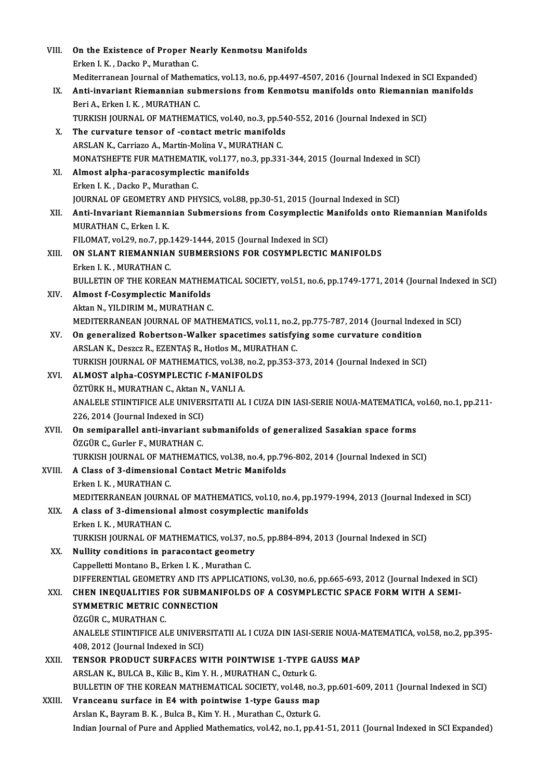| VIII.  | On the Existence of Proper Nearly Kenmotsu Manifolds                                                           |
|--------|----------------------------------------------------------------------------------------------------------------|
|        | Erken I. K., Dacko P., Murathan C.                                                                             |
|        | Mediterranean Journal of Mathematics, vol.13, no.6, pp.4497-4507, 2016 (Journal Indexed in SCI Expanded)       |
| IX.    | Anti-invariant Riemannian submersions from Kenmotsu manifolds onto Riemannian manifolds                        |
|        | Beri A., Erken I. K., MURATHAN C.                                                                              |
|        | TURKISH JOURNAL OF MATHEMATICS, vol.40, no.3, pp.540-552, 2016 (Journal Indexed in SCI)                        |
| Х.     | The curvature tensor of -contact metric manifolds                                                              |
|        | ARSLAN K., Carriazo A., Martin-Molina V., MURATHAN C.                                                          |
|        | MONATSHEFTE FUR MATHEMATIK, vol.177, no.3, pp.331-344, 2015 (Journal Indexed in SCI)                           |
| XI.    | Almost alpha-paracosymplectic manifolds                                                                        |
|        | Erken I K., Dacko P., Murathan C.                                                                              |
|        | JOURNAL OF GEOMETRY AND PHYSICS, vol.88, pp.30-51, 2015 (Journal Indexed in SCI)                               |
| XII.   | Anti-Invariant Riemannian Submersions from Cosymplectic Manifolds onto Riemannian Manifolds                    |
|        | MURATHAN C., Erken I. K.                                                                                       |
|        | FILOMAT, vol.29, no.7, pp.1429-1444, 2015 (Journal Indexed in SCI)                                             |
| XIII.  | ON SLANT RIEMANNIAN SUBMERSIONS FOR COSYMPLECTIC MANIFOLDS                                                     |
|        | Erken I K., MURATHAN C.                                                                                        |
|        | BULLETIN OF THE KOREAN MATHEMATICAL SOCIETY, vol.51, no.6, pp.1749-1771, 2014 (Journal Indexed in SCI)         |
| XIV.   | Almost f-Cosymplectic Manifolds                                                                                |
|        | Aktan N., YILDIRIM M., MURATHAN C.                                                                             |
|        | MEDITERRANEAN JOURNAL OF MATHEMATICS, vol.11, no.2, pp.775-787, 2014 (Journal Indexed in SCI)                  |
| XV.    | On generalized Robertson-Walker spacetimes satisfying some curvature condition                                 |
|        | ARSLAN K., Deszcz R., EZENTAŞ R., Hotlos M., MURATHAN C.                                                       |
|        | TURKISH JOURNAL OF MATHEMATICS, vol.38, no.2, pp.353-373, 2014 (Journal Indexed in SCI)                        |
| XVI.   | ALMOST alpha-COSYMPLECTIC f-MANIFOLDS                                                                          |
|        | ÖZTÜRK H., MURATHAN C., Aktan N., VANLI A.                                                                     |
|        | ANALELE STIINTIFICE ALE UNIVERSITATII AL I CUZA DIN IASI-SERIE NOUA-MATEMATICA, vol.60, no.1, pp.211-          |
|        | 226, 2014 (Journal Indexed in SCI)                                                                             |
| XVII.  | On semiparallel anti-invariant submanifolds of generalized Sasakian space forms                                |
|        | ÖZGÜR C., Gurler F., MURATHAN C.                                                                               |
|        | TURKISH JOURNAL OF MATHEMATICS, vol.38, no.4, pp.796-802, 2014 (Journal Indexed in SCI)                        |
| XVIII. | A Class of 3-dimensional Contact Metric Manifolds                                                              |
|        | Erken I K., MURATHAN C.                                                                                        |
|        | MEDITERRANEAN JOURNAL OF MATHEMATICS, vol.10, no.4, pp.1979-1994, 2013 (Journal Indexed in SCI)                |
| XIX.   | A class of 3-dimensional almost cosymplectic manifolds                                                         |
|        | Erken I. K., MURATHAN C.                                                                                       |
|        | TURKISH JOURNAL OF MATHEMATICS, vol.37, no.5, pp.884-894, 2013 (Journal Indexed in SCI)                        |
| XX.    | Nullity conditions in paracontact geometry                                                                     |
|        | Cappelletti Montano B., Erken I. K., Murathan C.                                                               |
|        | DIFFERENTIAL GEOMETRY AND ITS APPLICATIONS, vol.30, no.6, pp.665-693, 2012 (Journal Indexed in SCI)            |
| XXI.   | CHEN INEQUALITIES FOR SUBMANIFOLDS OF A COSYMPLECTIC SPACE FORM WITH A SEMI-                                   |
|        | SYMMETRIC METRIC CONNECTION                                                                                    |
|        | ÖZGÜR C., MURATHAN C.                                                                                          |
|        | ANALELE STIINTIFICE ALE UNIVERSITATII AL I CUZA DIN IASI-SERIE NOUA-MATEMATICA, vol.58, no.2, pp.395-          |
|        | 408, 2012 (Journal Indexed in SCI)                                                                             |
| XXII.  | TENSOR PRODUCT SURFACES WITH POINTWISE 1-TYPE GAUSS MAP                                                        |
|        | ARSLAN K., BULCA B., Kilic B., Kim Y. H., MURATHAN C., Ozturk G.                                               |
|        | BULLETIN OF THE KOREAN MATHEMATICAL SOCIETY, vol.48, no.3, pp.601-609, 2011 (Journal Indexed in SCI)           |
| XXIII. | Vranceanu surface in E4 with pointwise 1-type Gauss map                                                        |
|        | Arslan K., Bayram B. K., Bulca B., Kim Y. H., Murathan C., Ozturk G.                                           |
|        | Indian Journal of Pure and Applied Mathematics, vol.42, no.1, pp.41-51, 2011 (Journal Indexed in SCI Expanded) |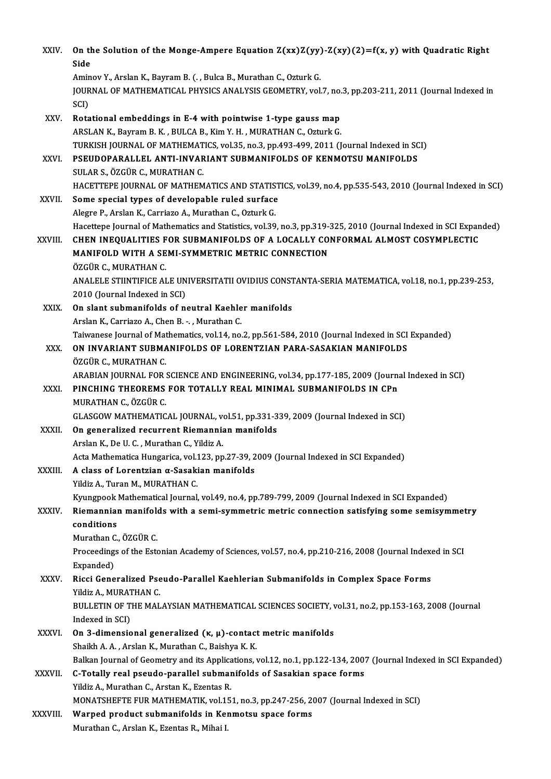| XXIV.         | On the Solution of the Monge-Ampere Equation $Z(xx)Z(yy)-Z(xy)(2)=f(x, y)$ with Quadratic Right<br>Side                                                               |
|---------------|-----------------------------------------------------------------------------------------------------------------------------------------------------------------------|
|               | Aminov Y., Arslan K., Bayram B. (., Bulca B., Murathan C., Ozturk G.                                                                                                  |
|               | JOURNAL OF MATHEMATICAL PHYSICS ANALYSIS GEOMETRY, vol.7, no.3, pp.203-211, 2011 (Journal Indexed in<br>SCI)                                                          |
| XXV.          | Rotational embeddings in E-4 with pointwise 1-type gauss map                                                                                                          |
|               | ARSLAN K., Bayram B. K., BULCA B., Kim Y. H., MURATHAN C., Ozturk G.                                                                                                  |
|               | TURKISH JOURNAL OF MATHEMATICS, vol.35, no.3, pp.493-499, 2011 (Journal Indexed in SCI)                                                                               |
| XXVI.         | PSEUDOPARALLEL ANTI-INVARIANT SUBMANIFOLDS OF KENMOTSU MANIFOLDS                                                                                                      |
|               | SULAR S., ÖZGÜR C., MURATHAN C.                                                                                                                                       |
|               | HACETTEPE JOURNAL OF MATHEMATICS AND STATISTICS, vol.39, no.4, pp.535-543, 2010 (Journal Indexed in SCI)                                                              |
| XXVII.        | Some special types of developable ruled surface                                                                                                                       |
|               | Alegre P., Arslan K., Carriazo A., Murathan C., Ozturk G.                                                                                                             |
|               | Hacettepe Journal of Mathematics and Statistics, vol.39, no.3, pp.319-325, 2010 (Journal Indexed in SCI Expanded)                                                     |
| <b>XXVIII</b> | CHEN INEQUALITIES FOR SUBMANIFOLDS OF A LOCALLY CONFORMAL ALMOST COSYMPLECTIC                                                                                         |
|               | MANIFOLD WITH A SEMI-SYMMETRIC METRIC CONNECTION                                                                                                                      |
|               | ÖZGÜR C., MURATHAN C.                                                                                                                                                 |
|               | ANALELE STIINTIFICE ALE UNIVERSITATII OVIDIUS CONSTANTA-SERIA MATEMATICA, vol.18, no.1, pp.239-253,                                                                   |
|               | 2010 (Journal Indexed in SCI)                                                                                                                                         |
| XXIX.         | On slant submanifolds of neutral Kaehler manifolds                                                                                                                    |
|               | Arslan K., Carriazo A., Chen B. - ., Murathan C.                                                                                                                      |
| XXX.          | Taiwanese Journal of Mathematics, vol.14, no.2, pp.561-584, 2010 (Journal Indexed in SCI Expanded)<br>ON INVARIANT SUBMANIFOLDS OF LORENTZIAN PARA-SASAKIAN MANIFOLDS |
|               | ÖZGÜR C., MURATHAN C.                                                                                                                                                 |
|               | ARABIAN JOURNAL FOR SCIENCE AND ENGINEERING, vol.34, pp.177-185, 2009 (Journal Indexed in SCI)                                                                        |
| XXXI.         | PINCHING THEOREMS FOR TOTALLY REAL MINIMAL SUBMANIFOLDS IN CPn<br>MURATHAN C., ÖZGÜR C.                                                                               |
|               | GLASGOW MATHEMATICAL JOURNAL, vol.51, pp.331-339, 2009 (Journal Indexed in SCI)                                                                                       |
| <b>XXXII</b>  | On generalized recurrent Riemannian manifolds                                                                                                                         |
|               | Arslan K, De U.C., Murathan C., Yildiz A.                                                                                                                             |
|               | Acta Mathematica Hungarica, vol.123, pp.27-39, 2009 (Journal Indexed in SCI Expanded)                                                                                 |
| <b>XXXIII</b> | A class of Lorentzian α-Sasakian manifolds                                                                                                                            |
|               | Yildiz A., Turan M., MURATHAN C.                                                                                                                                      |
|               | Kyungpook Mathematical Journal, vol.49, no.4, pp.789-799, 2009 (Journal Indexed in SCI Expanded)                                                                      |
| XXXIV.        | Riemannian manifolds with a semi-symmetric metric connection satisfying some semisymmetry                                                                             |
|               | conditions                                                                                                                                                            |
|               | Murathan C., ÖZGÜR C.                                                                                                                                                 |
|               | Proceedings of the Estonian Academy of Sciences, vol.57, no.4, pp.210-216, 2008 (Journal Indexed in SCI                                                               |
|               | Expanded)<br>Ricci Generalized Pseudo-Parallel Kaehlerian Submanifolds in Complex Space Forms                                                                         |
| XXXV.         | Yildiz A, MURATHAN C.                                                                                                                                                 |
|               | BULLETIN OF THE MALAYSIAN MATHEMATICAL SCIENCES SOCIETY, vol.31, no.2, pp.153-163, 2008 (Journal                                                                      |
|               | Indexed in SCI)                                                                                                                                                       |
| <b>XXXVI</b>  | On 3-dimensional generalized $(\kappa, \mu)$ -contact metric manifolds                                                                                                |
|               | Shaikh A. A., Arslan K., Murathan C., Baishya K. K.                                                                                                                   |
|               | Balkan Journal of Geometry and its Applications, vol.12, no.1, pp.122-134, 2007 (Journal Indexed in SCI Expanded)                                                     |
| XXXVII.       | C-Totally real pseudo-parallel submanifolds of Sasakian space forms                                                                                                   |
|               | Yildiz A., Murathan C., Arstan K., Ezentas R.                                                                                                                         |
|               | MONATSHEFTE FUR MATHEMATIK, vol.151, no.3, pp.247-256, 2007 (Journal Indexed in SCI)                                                                                  |
| XXXVIII.      | Warped product submanifolds in Kenmotsu space forms                                                                                                                   |
|               | Murathan C., Arslan K., Ezentas R., Mihai I.                                                                                                                          |
|               |                                                                                                                                                                       |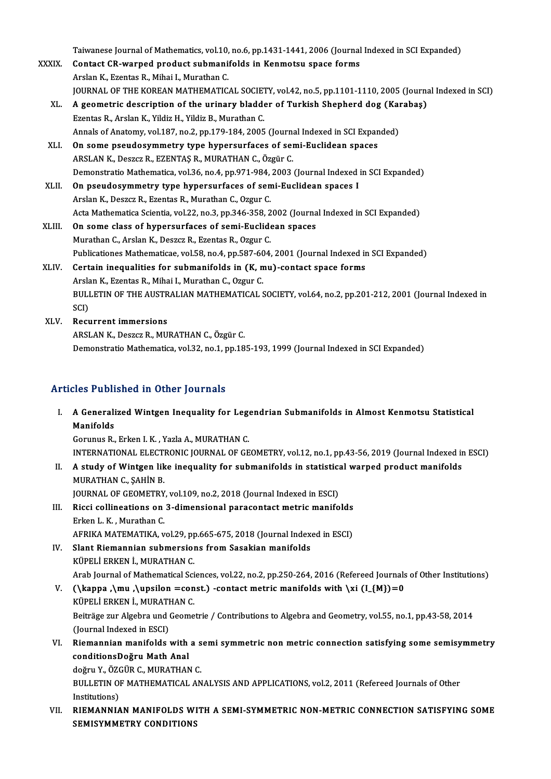Taiwanese Journal of Mathematics, vol.10, no.6, pp.1431-1441, 2006 (Journal Indexed in SCI Expanded)<br>Contast CP wanned produst submanifolds in Konmatsy space forms

|        | Taiwanese Journal of Mathematics, vol.10, no.6, pp.1431-1441, 2006 (Journal Indexed in SCI Expanded)  |
|--------|-------------------------------------------------------------------------------------------------------|
| XXXIX  | Contact CR-warped product submanifolds in Kenmotsu space forms                                        |
|        | Arslan K., Ezentas R., Mihai I., Murathan C.                                                          |
|        | JOURNAL OF THE KOREAN MATHEMATICAL SOCIETY, vol.42, no.5, pp.1101-1110, 2005 (Journal Indexed in SCI) |
| XL.    | A geometric description of the urinary bladder of Turkish Shepherd dog (Karabaş)                      |
|        | Ezentas R., Arslan K., Yildiz H., Yildiz B., Murathan C.                                              |
|        | Annals of Anatomy, vol.187, no.2, pp.179-184, 2005 (Journal Indexed in SCI Expanded)                  |
| XLI.   | On some pseudosymmetry type hypersurfaces of semi-Euclidean spaces                                    |
|        | ARSLAN K., Deszcz R., EZENTAŞ R., MURATHAN C., Özgür C.                                               |
|        | Demonstratio Mathematica, vol.36, no.4, pp.971-984, 2003 (Journal Indexed in SCI Expanded)            |
| XLII.  | On pseudosymmetry type hypersurfaces of semi-Euclidean spaces I                                       |
|        | Arslan K., Deszcz R., Ezentas R., Murathan C., Ozgur C.                                               |
|        | Acta Mathematica Scientia, vol.22, no.3, pp.346-358, 2002 (Journal Indexed in SCI Expanded)           |
| XLIII. | On some class of hypersurfaces of semi-Euclidean spaces                                               |
|        | Murathan C., Arslan K., Deszcz R., Ezentas R., Ozgur C.                                               |
|        | Publicationes Mathematicae, vol.58, no.4, pp.587-604, 2001 (Journal Indexed in SCI Expanded)          |
| XLIV.  | Certain inequalities for submanifolds in (K, mu)-contact space forms                                  |
|        | Arslan K., Ezentas R., Mihai I., Murathan C., Ozgur C.                                                |
|        | BULLETIN OF THE AUSTRALIAN MATHEMATICAL SOCIETY, vol.64, no.2, pp.201-212, 2001 (Journal Indexed in   |
|        | SCI)                                                                                                  |
| XLV.   | <b>Recurrent immersions</b>                                                                           |
|        | ARSLAN K., Deszcz R., MURATHAN C., Özgür C.                                                           |
|        | Demonstratio Mathematica, vol.32, no.1, pp.185-193, 1999 (Journal Indexed in SCI Expanded)            |
|        |                                                                                                       |

# Articles Published in Other Journals

rticles Published in Other Journals<br>I. A Generalized Wintgen Inequality for Legendrian Submanifolds in Almost Kenmotsu Statistical<br>Manifolds A Generali<br>Manifolds<br>Corunus P Manifolds<br>Gorunus R., Erken I. K. , Yazla A., MURATHAN C.

INTERNATIONAL ELECTRONIC JOURNAL OF GEOMETRY, vol.12, no.1, pp.43-56, 2019 (Journal Indexed in ESCI)

Gorunus R., Erken I. K. , Yazla A., MURATHAN C.<br>INTERNATIONAL ELECTRONIC JOURNAL OF GEOMETRY, vol.12, no.1, pp.43-56, 2019 (Journal Indexed in<br>II. A study of Wintgen like inequality for submanifolds in statistical warped p INTERNATIONAL ELECTI<br><mark>A study of Wintgen lik</mark><br>MURATHAN C., ŞAHİN B.<br>JOUPNAL OF CEOMETPY A study of Wintgen like inequality for submanifolds in statistic:<br>MURATHAN C., ŞAHİN B.<br>JOURNAL OF GEOMETRY, vol.109, no.2, 2018 (Journal Indexed in ESCI)<br>Pissi sellinestions on 3 dimensional perssentest metris menife

- MURATHAN C., ŞAHİN B.<br>JOURNAL OF GEOMETRY, vol.109, no.2, 2018 (Journal Indexed in ESCI)<br>III. Ricci collineations on 3-dimensional paracontact metric manifolds<br>Frien L.K., Murathan G. **JOURNAL OF GEOMETRY<br>Ricci collineations on<br>Erken L. K. , Murathan C.<br>AEDIKA MATEMATIKA.** Ricci collineations on 3-dimensional paracontact metric manifolds<br>Erken L. K. , Murathan C.<br>AFRIKA MATEMATIKA, vol.29, pp.665-675, 2018 (Journal Indexed in ESCI)<br>Slant Biomannian submersions from Sasakian manifolds Erken L. K., Murathan C.<br>AFRIKA MATEMATIKA, vol.29, pp.665-675, 2018 (Journal Indexed in ESCI)<br>IV. Slant Riemannian submersions from Sasakian manifolds
- KÜPELİ ERKEN İ., MURATHAN C. Slant Riemannian submersions from Sasakian manifolds<br>KÜPELİ ERKEN İ., MURATHAN C.<br>Arab Journal of Mathematical Sciences, vol.22, no.2, pp.250-264, 2016 (Refereed Journals of Other Institutions)<br>() kanna, ) mu, ) ungilan =s KÜPELİ ERKEN İ., MURATHAN C.<br>Arab Journal of Mathematical Sciences, vol.22, no.2, pp.250-264, 2016 (Refereed Journals<br>V. (\kappa ,\mu ,\upsilon =const.) -contact metric manifolds with \xi (I\_{M})=0<br>vüpeli ERKEN İ. MURATHAN
- Arab Journal of Mathematical Sci<br>(**\kappa ,\mu ,\upsilon =con**<br>KÜPELİ ERKEN İ., MURATHAN C.<br>Peiträge zur Algebre und Geeme V. (\kappa ,\mu ,\upsilon =const.) -contact metric manifolds with \xi (I\_{M})=0<br>KÜPELİ ERKEN İ., MURATHAN C.<br>Beiträge zur Algebra und Geometrie / Contributions to Algebra and Geometry, vol.55, no.1, pp.43-58, 2014<br>(Journa KÜPELİ ERKEN İ., MURATHAN C. Beiträge zur Algebra und Geometrie / Contributions to Algebra and Geometry, vol.55, no.1, pp.43-58, 2014<br>(Journal Indexed in ESCI)<br>VI. Riemannian manifolds with a semi symmetric non metric connection satisfying some semisy
- (Journal Indexed in ESCI)<br>Riemannian manifolds with<br>conditionsDoğru Math Anal<br>doğmu V. ÖZCÜP C. MUPATHAN Riemannian manifolds with a s<br>conditionsDoğru Math Anal<br>doğru Y., ÖZGÜR C., MURATHAN C.<br>PULLETIN OF MATHEMATICAL AN

conditionsDoğru Math Anal<br>doğru Y., ÖZGÜR C., MURATHAN C.<br>BULLETIN OF MATHEMATICAL ANALYSIS AND APPLICATIONS, vol.2, 2011 (Refereed Journals of Other<br>Institutions) doğru Y., ÖZO<br>BULLETIN OI<br>Institutions)<br>BIEMANNIA

Institutions)<br>VII. RIEMANNIAN MANIFOLDS WITH A SEMI-SYMMETRIC NON-METRIC CONNECTION SATISFYING SOME SEMISYMMETRY CONDITIONS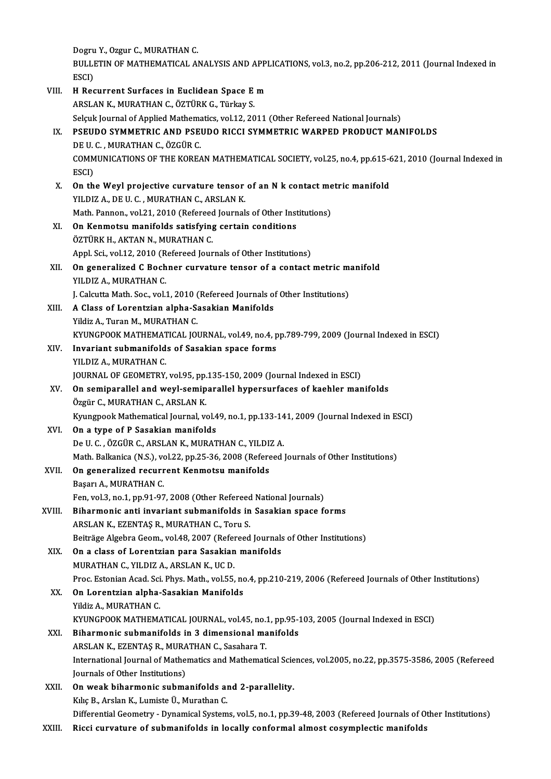Dogru Y., Ozgur C., MURATHAN C.

Dogru Y., Ozgur C., MURATHAN C.<br>BULLETIN OF MATHEMATICAL ANALYSIS AND APPLICATIONS, vol.3, no.2, pp.206-212, 2011 (Journal Indexed in Dogru<br>BULLI<br>ESCI)<br>H. Bog BULLETIN OF MATHEMATICAL ANALYSIS AND APPI<br>ESCI)<br>VIII. H Recurrent Surfaces in Euclidean Space E m

|        | ESCI)                                                                                                            |
|--------|------------------------------------------------------------------------------------------------------------------|
| VIII.  | H Recurrent Surfaces in Euclidean Space E m                                                                      |
|        | ARSLAN K., MURATHAN C., ÖZTÜRK G., Türkay S.                                                                     |
|        | Selçuk Journal of Applied Mathematics, vol.12, 2011 (Other Refereed National Journals)                           |
| IX.    | PSEUDO SYMMETRIC AND PSEUDO RICCI SYMMETRIC WARPED PRODUCT MANIFOLDS                                             |
|        | DE U.C., MURATHAN C., ÖZGÜR C.                                                                                   |
|        | COMMUNICATIONS OF THE KOREAN MATHEMATICAL SOCIETY, vol.25, no.4, pp.615-621, 2010 (Journal Indexed in            |
|        | ESCI)                                                                                                            |
| X.     | On the Weyl projective curvature tensor of an N k contact metric manifold                                        |
|        | YILDIZ A., DE U. C., MURATHAN C., ARSLAN K.                                                                      |
|        | Math. Pannon., vol.21, 2010 (Refereed Journals of Other Institutions)                                            |
| XI.    | On Kenmotsu manifolds satisfying certain conditions                                                              |
|        | ÖZTÜRK H., AKTAN N., MURATHAN C.                                                                                 |
|        | Appl. Sci., vol.12, 2010 (Refereed Journals of Other Institutions)                                               |
| XII.   | On generalized C Bochner curvature tensor of a contact metric manifold                                           |
|        | YILDIZ A, MURATHAN C.                                                                                            |
|        | J. Calcutta Math. Soc., vol.1, 2010 (Refereed Journals of Other Institutions)                                    |
| XIII.  | A Class of Lorentzian alpha-Sasakian Manifolds                                                                   |
|        | Yildiz A., Turan M., MURATHAN C.                                                                                 |
|        | KYUNGPOOK MATHEMATICAL JOURNAL, vol.49, no.4, pp.789-799, 2009 (Journal Indexed in ESCI)                         |
| XIV.   | Invariant submanifolds of Sasakian space forms                                                                   |
|        | YILDIZ A, MURATHAN C.                                                                                            |
|        | JOURNAL OF GEOMETRY, vol.95, pp.135-150, 2009 (Journal Indexed in ESCI)                                          |
| XV.    | On semiparallel and weyl-semiparallel hypersurfaces of kaehler manifolds                                         |
|        | Özgür C., MURATHAN C., ARSLAN K.                                                                                 |
|        | Kyungpook Mathematical Journal, vol.49, no.1, pp.133-141, 2009 (Journal Indexed in ESCI)                         |
| XVI.   | On a type of P Sasakian manifolds                                                                                |
|        | De U. C., ÖZGÜR C., ARSLAN K., MURATHAN C., YILDIZ A.                                                            |
|        | Math. Balkanica (N.S.), vol.22, pp.25-36, 2008 (Refereed Journals of Other Institutions)                         |
| XVII.  | On generalized recurrent Kenmotsu manifolds                                                                      |
|        | Başarı A., MURATHAN C.                                                                                           |
|        | Fen, vol.3, no.1, pp.91-97, 2008 (Other Refereed National Journals)                                              |
| XVIII. | Biharmonic anti invariant submanifolds in Sasakian space forms                                                   |
|        | ARSLAN K., EZENTAȘ R., MURATHAN C., Toru S.                                                                      |
|        | Beiträge Algebra Geom., vol.48, 2007 (Refereed Journals of Other Institutions)                                   |
| XIX.   | On a class of Lorentzian para Sasakian manifolds                                                                 |
|        | MURATHAN C., YILDIZ A., ARSLAN K., UC D.                                                                         |
|        | Proc. Estonian Acad. Sci. Phys. Math., vol.55, no.4, pp.210-219, 2006 (Refereed Journals of Other Institutions)  |
| XX.    | On Lorentzian alpha-Sasakian Manifolds                                                                           |
|        | Yildiz A., MURATHAN C.                                                                                           |
|        | KYUNGPOOK MATHEMATICAL JOURNAL, vol.45, no.1, pp.95-103, 2005 (Journal Indexed in ESCI)                          |
| XXI.   | Biharmonic submanifolds in 3 dimensional manifolds                                                               |
|        | ARSLAN K., EZENTAŞ R., MURATHAN C., Sasahara T.                                                                  |
|        | International Journal of Mathematics and Mathematical Sciences, vol.2005, no.22, pp.3575-3586, 2005 (Refereed    |
|        | Journals of Other Institutions)                                                                                  |
| XXII.  | On weak biharmonic submanifolds and 2-parallelity.                                                               |
|        | Kılıç B., Arslan K., Lumiste Ü., Murathan C.                                                                     |
|        | Differential Geometry - Dynamical Systems, vol.5, no.1, pp.39-48, 2003 (Refereed Journals of Other Institutions) |
| XXIII. | Ricci curvature of submanifolds in locally conformal almost cosymplectic manifolds                               |
|        |                                                                                                                  |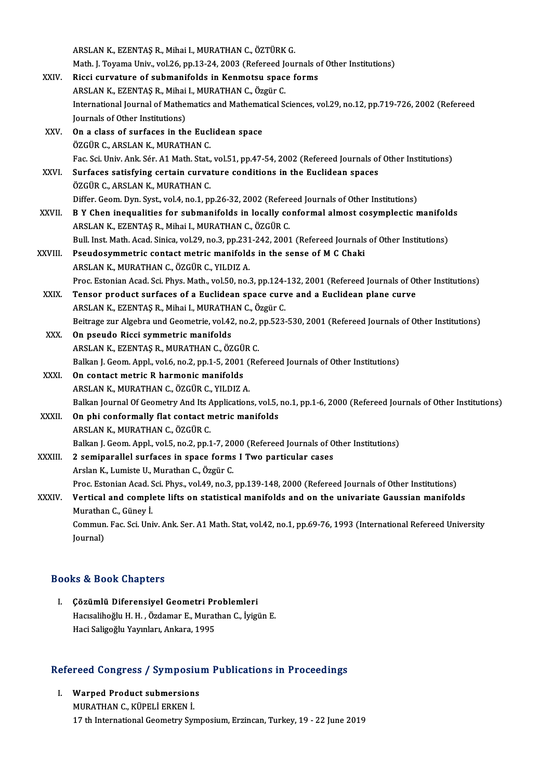|              | ARSLAN K., EZENTAŞ R., Mihai I., MURATHAN C., ÖZTÜRK G.                                                              |
|--------------|----------------------------------------------------------------------------------------------------------------------|
|              | Math. J. Toyama Univ., vol.26, pp.13-24, 2003 (Refereed Journals of Other Institutions)                              |
| XXIV.        | Ricci curvature of submanifolds in Kenmotsu space forms                                                              |
|              | ARSLAN K., EZENTAŞ R., Mihai I., MURATHAN C., Özgür C.                                                               |
|              | International Journal of Mathematics and Mathematical Sciences, vol.29, no.12, pp.719-726, 2002 (Refereed            |
|              | Journals of Other Institutions)                                                                                      |
| XXV.         | On a class of surfaces in the Euclidean space                                                                        |
|              | ÖZGÜR C., ARSLAN K., MURATHAN C.                                                                                     |
|              | Fac. Sci. Univ. Ank. Sér. A1 Math. Stat., vol.51, pp.47-54, 2002 (Refereed Journals of Other Institutions)           |
| XXVI.        | Surfaces satisfying certain curvature conditions in the Euclidean spaces                                             |
|              | ÖZGÜR C., ARSLAN K., MURATHAN C.                                                                                     |
|              | Differ. Geom. Dyn. Syst., vol.4, no.1, pp.26-32, 2002 (Refereed Journals of Other Institutions)                      |
| <b>XXVII</b> | B Y Chen inequalities for submanifolds in locally conformal almost cosymplectic manifolds                            |
|              | ARSLAN K., EZENTAŞ R., Mihai I., MURATHAN C., ÖZGÜR C.                                                               |
|              | Bull. Inst. Math. Acad. Sinica, vol.29, no.3, pp.231-242, 2001 (Refereed Journals of Other Institutions)             |
| XXVIII.      | Pseudosymmetric contact metric manifolds in the sense of M C Chaki                                                   |
|              | ARSLAN K., MURATHAN C., ÖZGÜR C., YILDIZ A.                                                                          |
|              | Proc. Estonian Acad. Sci. Phys. Math., vol.50, no.3, pp.124-132, 2001 (Refereed Journals of Other Institutions)      |
| XXIX.        | Tensor product surfaces of a Euclidean space curve and a Euclidean plane curve                                       |
|              | ARSLAN K., EZENTAŞ R., Mihai I., MURATHAN C., Özgür C.                                                               |
|              | Beitrage zur Algebra und Geometrie, vol.42, no.2, pp.523-530, 2001 (Refereed Journals of Other Institutions)         |
| XXX.         | On pseudo Ricci symmetric manifolds                                                                                  |
|              | ARSLAN K., EZENTAŞ R., MURATHAN C., ÖZGÜR C.                                                                         |
|              | Balkan J. Geom. Appl., vol.6, no.2, pp.1-5, 2001 (Refereed Journals of Other Institutions)                           |
| XXXI.        | On contact metric R harmonic manifolds                                                                               |
|              | ARSLAN K., MURATHAN C., ÖZGÜR C., YILDIZ A.                                                                          |
|              | Balkan Journal Of Geometry And Its Applications, vol.5, no.1, pp.1-6, 2000 (Refereed Journals of Other Institutions) |
| <b>XXXII</b> | On phi conformally flat contact metric manifolds                                                                     |
|              | ARSLAN K., MURATHAN C., ÖZGÜR C.                                                                                     |
|              | Balkan J. Geom. Appl., vol.5, no.2, pp.1-7, 2000 (Refereed Journals of Other Institutions)                           |
| XXXIII.      | 2 semiparallel surfaces in space forms I Two particular cases                                                        |
|              | Arslan K., Lumiste U., Murathan C., Özgür C.                                                                         |
|              | Proc. Estonian Acad. Sci. Phys., vol.49, no.3, pp.139-148, 2000 (Refereed Journals of Other Institutions)            |
| XXXIV.       | Vertical and complete lifts on statistical manifolds and on the univariate Gaussian manifolds                        |
|              | Murathan C., Güney İ.                                                                                                |
|              | Commun. Fac. Sci. Univ. Ank. Ser. A1 Math. Stat, vol.42, no.1, pp.69-76, 1993 (International Refereed University     |
|              | Journal)                                                                                                             |
|              |                                                                                                                      |

# Books&Book Chapters

I. Çözümlü Diferensiyel Geometri Problemleri tə & Book unapters<br>Çözümlü Diferensiyel Geometri Problemleri<br>Hacısalihoğlu H. H. , Özdamar E., Murathan C., İyigün E.<br>Haci Saligoğlu Yayınları, Ankara, 1995 **Çözümlü Diferensiyel Geometri Pr**<br>Hacısalihoğlu H. H. , Özdamar E., Murat<br>Haci Saligoğlu Yayınları, Ankara, 1995

# nacı sangoglu rayınları, Ankara, 1995<br>Refereed Congress / Symposium Publications in Proceedings

Experienced Congress / Symposius<br>I. Warped Product submersions<br>MIRATHAN C. KÜRELİ ERKEN İ I. Warped Product submersions<br>MURATHAN C., KÜPELİ ERKEN İ. 17 th International Geometry Symposium, Erzincan, Turkey, 19 - 22 June 2019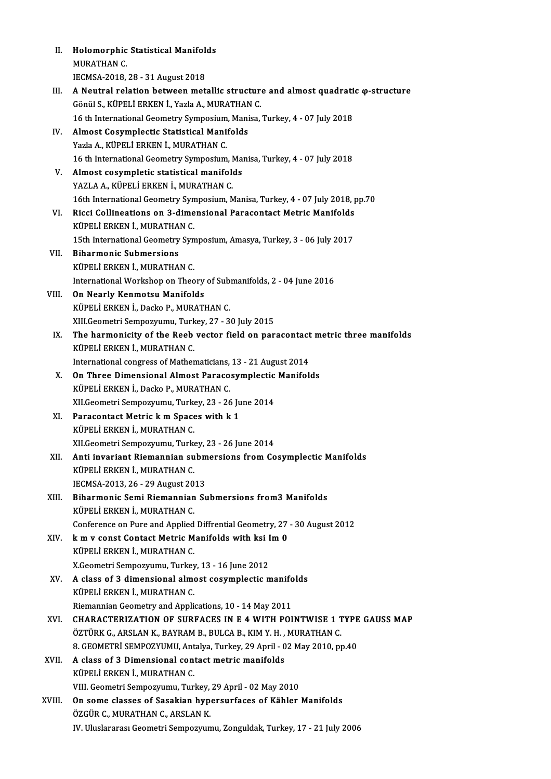| Н.     | Holomorphic Statistical Manifolds                                                       |
|--------|-----------------------------------------------------------------------------------------|
|        | <b>MURATHAN C.</b>                                                                      |
|        | IECMSA-2018, 28 - 31 August 2018                                                        |
| Ш.     | A Neutral relation between metallic structure and almost quadratic $\varphi$ -structure |
|        | Gönül S., KÜPELİ ERKEN İ., Yazla A., MURATHAN C.                                        |
|        | 16 th International Geometry Symposium, Manisa, Turkey, 4 - 07 July 2018                |
| IV.    | Almost Cosymplectic Statistical Manifolds                                               |
|        | Yazla A., KÜPELİ ERKEN İ., MURATHAN C.                                                  |
|        | 16 th International Geometry Symposium, Manisa, Turkey, 4 - 07 July 2018                |
| V.     | Almost cosympletic statistical manifolds                                                |
|        | YAZLA A., KÜPELİ ERKEN İ., MURATHAN C.                                                  |
|        | 16th International Geometry Symposium, Manisa, Turkey, 4 - 07 July 2018, pp.70          |
| VI.    | Ricci Collineations on 3-dimensional Paracontact Metric Manifolds                       |
|        | KÜPELİ ERKEN İ, MURATHAN C.                                                             |
|        | 15th International Geometry Symposium, Amasya, Turkey, 3 - 06 July 2017                 |
| VII.   | <b>Biharmonic Submersions</b>                                                           |
|        | KÜPELİ ERKEN İ., MURATHAN C.                                                            |
|        | International Workshop on Theory of Submanifolds, 2 - 04 June 2016                      |
| VIII.  | On Nearly Kenmotsu Manifolds                                                            |
|        | KÜPELİ ERKEN İ., Dacko P., MURATHAN C.                                                  |
|        | XIII. Geometri Sempozyumu, Turkey, 27 - 30 July 2015                                    |
| IX.    | The harmonicity of the Reeb vector field on paracontact metric three manifolds          |
|        | KÜPELİ ERKEN İ., MURATHAN C.                                                            |
|        | International congress of Mathematicians, 13 - 21 August 2014                           |
| X.     | On Three Dimensional Almost Paracosymplectic Manifolds                                  |
|        |                                                                                         |
|        | KÜPELİ ERKEN İ., Dacko P., MURATHAN C.                                                  |
|        | XII Geometri Sempozyumu, Turkey, 23 - 26 June 2014                                      |
| XI.    | Paracontact Metric k m Spaces with k 1                                                  |
|        | KÜPELİ ERKEN İ., MURATHAN C.                                                            |
|        | XII Geometri Sempozyumu, Turkey, 23 - 26 June 2014                                      |
| XII.   | Anti invariant Riemannian submersions from Cosymplectic Manifolds                       |
|        | KÜPELİ ERKEN İ., MURATHAN C.                                                            |
|        | IECMSA-2013, 26 - 29 August 2013                                                        |
| XIII.  | Biharmonic Semi Riemannian Submersions from3 Manifolds                                  |
|        | KÜPELİ ERKEN İ., MURATHAN C.                                                            |
|        | Conference on Pure and Applied Diffrential Geometry, 27 - 30 August 2012                |
| XIV.   | k m v const Contact Metric Manifolds with ksi Im 0                                      |
|        | KÜPELİ ERKEN İ., MURATHAN C.                                                            |
|        | X.Geometri Sempozyumu, Turkey, 13 - 16 June 2012                                        |
| XV.    | A class of 3 dimensional almost cosymplectic manifolds                                  |
|        | KÜPELİ ERKEN İ, MURATHAN C.                                                             |
|        | Riemannian Geometry and Applications, 10 - 14 May 2011                                  |
| XVI.   | <b>CHARACTERIZATION OF SURFACES IN E 4 WITH POINTWISE 1 TYPE GAUSS MAP</b>              |
|        | ÖZTÜRK G., ARSLAN K., BAYRAM B., BULCA B., KIM Y. H. , MURATHAN C.                      |
|        | 8. GEOMETRI SEMPOZYUMU, Antalya, Turkey, 29 April - 02 May 2010, pp.40                  |
| XVII.  | A class of 3 Dimensional contact metric manifolds                                       |
|        | KÜPELİ ERKEN İ., MURATHAN C.                                                            |
|        | VIII. Geometri Sempozyumu, Turkey, 29 April - 02 May 2010                               |
| XVIII. | On some classes of Sasakian hypersurfaces of Kähler Manifolds                           |
|        | ÖZGÜR C., MURATHAN C., ARSLAN K.                                                        |
|        | IV. Uluslararası Geometri Sempozyumu, Zonguldak, Turkey, 17 - 21 July 2006              |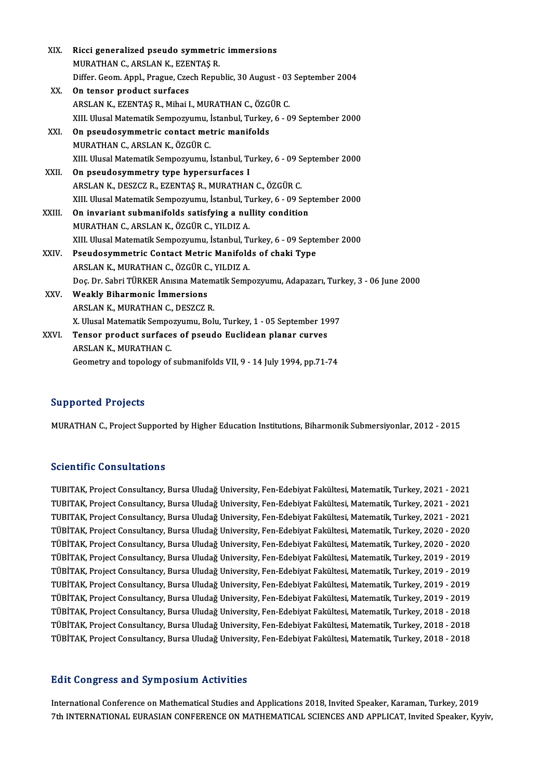| XIX.   | Ricci generalized pseudo symmetric immersions                                           |
|--------|-----------------------------------------------------------------------------------------|
|        | MURATHAN C., ARSLAN K., EZENTAȘ R.                                                      |
|        | Differ. Geom. Appl., Prague, Czech Republic, 30 August - 03 September 2004              |
| XX.    | On tensor product surfaces                                                              |
|        | ARSLAN K., EZENTAŞ R., Mihai I., MURATHAN C., ÖZGÜR C.                                  |
|        | XIII. Ulusal Matematik Sempozyumu, İstanbul, Turkey, 6 - 09 September 2000              |
| XXI.   | On pseudosymmetric contact metric manifolds                                             |
|        | MURATHAN C., ARSLAN K., ÖZGÜR C.                                                        |
|        | XIII. Ulusal Matematik Sempozyumu, İstanbul, Turkey, 6 - 09 September 2000              |
| XXII.  | On pseudosymmetry type hypersurfaces I                                                  |
|        | ARSLAN K., DESZCZ R., EZENTAŞ R., MURATHAN C., ÖZGÜR C.                                 |
|        | XIII. Ulusal Matematik Sempozyumu, İstanbul, Turkey, 6 - 09 September 2000              |
| XXIII. | On invariant submanifolds satisfying a nullity condition                                |
|        | MURATHAN C., ARSLAN K., ÖZGÜR C., YILDIZ A.                                             |
|        | XIII. Ulusal Matematik Sempozyumu, İstanbul, Turkey, 6 - 09 September 2000              |
| XXIV.  | Pseudosymmetric Contact Metric Manifolds of chaki Type                                  |
|        | ARSLAN K., MURATHAN C., ÖZGÜR C., YILDIZ A.                                             |
|        | Doç. Dr. Sabri TÜRKER Anısına Matematik Sempozyumu, Adapazarı, Turkey, 3 - 06 June 2000 |
| XXV.   | <b>Weakly Biharmonic Immersions</b>                                                     |
|        | ARSLAN K., MURATHAN C., DESZCZ R.                                                       |
|        | X. Ulusal Matematik Sempozyumu, Bolu, Turkey, 1 - 05 September 1997                     |
| XXVI.  | Tensor product surfaces of pseudo Euclidean planar curves                               |
|        | ARSLAN K, MURATHAN C.                                                                   |
|        | Geometry and topology of submanifolds VII, 9 - 14 July 1994, pp.71-74                   |

# Supported Projects

MURATHAN C., Project Supported by Higher Education Institutions, Biharmonik Submersiyonlar, 2012 - 2015

# Scientific Consultations

Scientific Consultations<br>TUBITAK, Project Consultancy, Bursa Uludağ University, Fen-Edebiyat Fakültesi, Matematik, Turkey, 2021 - 2021<br>TUBITAK, Project Consultancy, Bursa Uludağ University, Fen-Edebiyat Fakültesi, Matemati Scientinic Sonsultations<br>TUBITAK, Project Consultancy, Bursa Uludağ University, Fen-Edebiyat Fakültesi, Matematik, Turkey, 2021 - 2021<br>TUBITAK, Project Consultancy, Bursa Uludağ University, Fen-Edebiyat Fakültesi, Matemati TUBITAK, Project Consultancy, Bursa Uludağ University, Fen-Edebiyat Fakültesi, Matematik, Turkey, 2021 - 2021<br>TUBITAK, Project Consultancy, Bursa Uludağ University, Fen-Edebiyat Fakültesi, Matematik, Turkey, 2021 - 2021<br>TU TUBITAK, Project Consultancy, Bursa Uludağ University, Fen-Edebiyat Fakültesi, Matematik, Turkey, 2021 - 2021<br>TUBITAK, Project Consultancy, Bursa Uludağ University, Fen-Edebiyat Fakültesi, Matematik, Turkey, 2021 - 2021<br>TÜ TUBITAK, Project Consultancy, Bursa Uludağ University, Fen-Edebiyat Fakültesi, Matematik, Turkey, 2021 - 2021<br>TÜBİTAK, Project Consultancy, Bursa Uludağ University, Fen-Edebiyat Fakültesi, Matematik, Turkey, 2020 - 2020<br>TÜ TÜBİTAK, Project Consultancy, Bursa Uludağ University, Fen-Edebiyat Fakültesi, Matematik, Turkey, 2020 - 2020<br>TÜBİTAK, Project Consultancy, Bursa Uludağ University, Fen-Edebiyat Fakültesi, Matematik, Turkey, 2020 - 2020<br>TÜ TÜBİTAK, Project Consultancy, Bursa Uludağ University, Fen-Edebiyat Fakültesi, Matematik, Turkey, 2020 - 2020<br>TÜBİTAK, Project Consultancy, Bursa Uludağ University, Fen-Edebiyat Fakültesi, Matematik, Turkey, 2019 - 2019<br>TÜ TÜBİTAK, Project Consultancy, Bursa Uludağ University, Fen-Edebiyat Fakültesi, Matematik, Turkey, 2019 - 2019<br>TÜBİTAK, Project Consultancy, Bursa Uludağ University, Fen-Edebiyat Fakültesi, Matematik, Turkey, 2019 - 2019<br>TÜ TUBİTAK, Project Consultancy, Bursa Uludağ University, Fen-Edebiyat Fakültesi, Matematik, Turkey, 2019 - 2019<br>TÜBİTAK, Project Consultancy, Bursa Uludağ University, Fen-Edebiyat Fakültesi, Matematik, Turkey, 2019 - 2019 TUBİTAK, Project Consultancy, Bursa Uludağ University, Fen-Edebiyat Fakültesi, Matematik, Turkey, 2019 - 2019<br>TÜBİTAK, Project Consultancy, Bursa Uludağ University, Fen-Edebiyat Fakültesi, Matematik, Turkey, 2019 - 2019<br>TÜ TÜBİTAK, Project Consultancy, Bursa Uludağ University, Fen-Edebiyat Fakültesi, Matematik, Turkey, 2019 - 2019<br>TÜBİTAK, Project Consultancy, Bursa Uludağ University, Fen-Edebiyat Fakültesi, Matematik, Turkey, 2018 - 2018<br>TÜ TÜBİTAK, Project Consultancy, Bursa Uludağ University, Fen-Edebiyat Fakültesi, Matematik, Turkey, 2018 - 2018<br>TÜBİTAK, Project Consultancy, Bursa Uludağ University, Fen-Edebiyat Fakültesi, Matematik, Turkey, 2018 - 2018<br>TÜ TÜBİTAK, Project Consultancy, Bursa Uludağ University, Fen-Edebiyat Fakültesi, Matematik, Turkey, 2018 - 2018<br>Edit Congress and Symposium Activities

International Conference on Mathematical Studies and Applications 2018, Invited Speaker, Karaman, Turkey, 2019 7th INTERNATIONAL EURASIAN CONFERENCE ON MATHEMATICAL SCIENCES AND APPLICAT, Invited Speaker, Kyyiv,